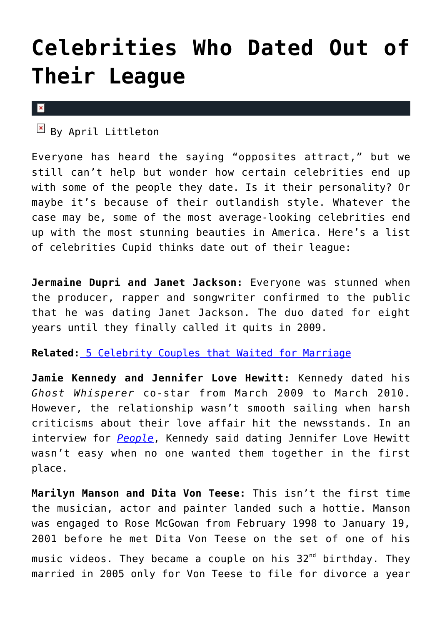## **[Celebrities Who Dated Out of](https://cupidspulse.com/56421/celebrities-date-out-of-league/) [Their League](https://cupidspulse.com/56421/celebrities-date-out-of-league/)**

## $\vert x \vert$

 $\mathbb{F}$  By April Littleton

Everyone has heard the saying "opposites attract," but we still can't help but wonder how certain celebrities end up with some of the people they date. Is it their personality? Or maybe it's because of their outlandish style. Whatever the case may be, some of the most average-looking celebrities end up with the most stunning beauties in America. Here's a list of celebrities Cupid thinks date out of their league:

**Jermaine Dupri and Janet Jackson:** Everyone was stunned when the producer, rapper and songwriter confirmed to the public that he was dating Janet Jackson. The duo dated for eight years until they finally called it quits in 2009.

**Related:** [5 Celebrity Couples that Waited for Marriage](http://cupidspulse.com/5-celebrity-couples-waited-marriage/)

**Jamie Kennedy and Jennifer Love Hewitt:** Kennedy dated his *Ghost Whisperer* co-star from March 2009 to March 2010. However, the relationship wasn't smooth sailing when harsh criticisms about their love affair hit the newsstands. In an interview for *[People](http://www.people.com/people/article/0,,20625380,00.html)*, Kennedy said dating Jennifer Love Hewitt wasn't easy when no one wanted them together in the first place.

**Marilyn Manson and Dita Von Teese:** This isn't the first time the musician, actor and painter landed such a hottie. Manson was engaged to Rose McGowan from February 1998 to January 19, 2001 before he met Dita Von Teese on the set of one of his music videos. They became a couple on his  $32^{nd}$  birthday. They married in 2005 only for Von Teese to file for divorce a year